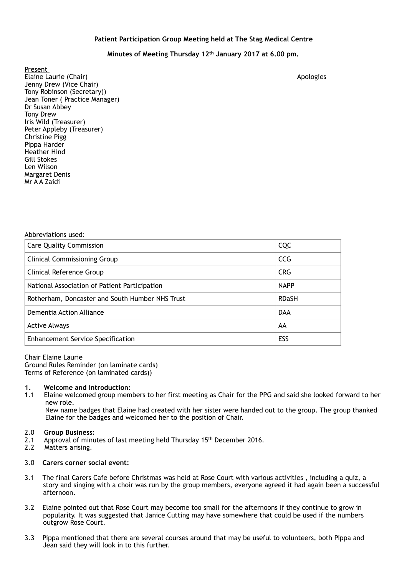## **Patient Participation Group Meeting held at The Stag Medical Centre**

# **Minutes of Meeting Thursday 12th January 2017 at 6.00 pm.**

Present Elaine Laurie (Chair) **Apologies Apologies Apologies Apologies Apologies Apologies Apologies Apologies** Jenny Drew (Vice Chair) Tony Robinson (Secretary)) Jean Toner ( Practice Manager) Dr Susan Abbey Tony Drew Iris Wild (Treasurer) Peter Appleby (Treasurer) Christine Pigg Pippa Harder Heather Hind Gill Stokes Len Wilson Margaret Denis Mr A A Zaidi

| Abbreviations used:                             |              |
|-------------------------------------------------|--------------|
| <b>Care Quality Commission</b>                  | CQC          |
| <b>Clinical Commissioning Group</b>             | <b>CCG</b>   |
| Clinical Reference Group                        | <b>CRG</b>   |
| National Association of Patient Participation   | <b>NAPP</b>  |
| Rotherham, Doncaster and South Humber NHS Trust | <b>RDaSH</b> |
| Dementia Action Alliance                        | <b>DAA</b>   |
| <b>Active Always</b>                            | AA           |
| <b>Enhancement Service Specification</b>        | ESS          |

Chair Elaine Laurie Ground Rules Reminder (on laminate cards) Terms of Reference (on laminated cards))

#### **1. Welcome and introduction:**

1.1 Elaine welcomed group members to her first meeting as Chair for the PPG and said she looked forward to her new role.

 New name badges that Elaine had created with her sister were handed out to the group. The group thanked Elaine for the badges and welcomed her to the position of Chair.

# 2.0 **Group Business:**

- Approval of minutes of last meeting held Thursday 15<sup>th</sup> December 2016.
- 2.2 Matters arising.

## 3.0 **Carers corner social event:**

- 3.1 The final Carers Cafe before Christmas was held at Rose Court with various activities , including a quiz, a story and singing with a choir was run by the group members, everyone agreed it had again been a successful afternoon.
- 3.2 Elaine pointed out that Rose Court may become too small for the afternoons if they continue to grow in popularity. It was suggested that Janice Cutting may have somewhere that could be used if the numbers outgrow Rose Court.
- 3.3 Pippa mentioned that there are several courses around that may be useful to volunteers, both Pippa and Jean said they will look in to this further.